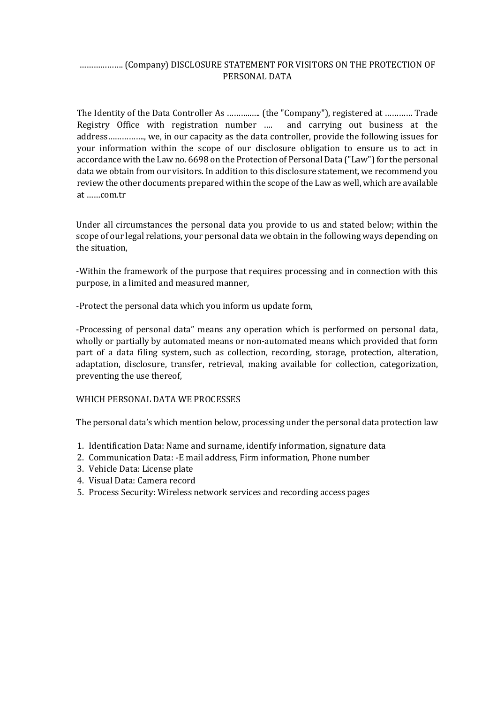## ..................... (Company) DISCLOSURE STATEMENT FOR VISITORS ON THE PROTECTION OF PERSONAL DATA

The Identity of the Data Controller As …………… (the "Company"), registered at ………… Trade Registry Office with registration number .... and carrying out business at the address................., we, in our capacity as the data controller, provide the following issues for your information within the scope of our disclosure obligation to ensure us to act in accordance with the Law no. 6698 on the Protection of Personal Data ("Law") for the personal data we obtain from our visitors. In addition to this disclosure statement, we recommend you review the other documents prepared within the scope of the Law as well, which are available at ……com.tr

Under all circumstances the personal data you provide to us and stated below; within the scope of our legal relations, your personal data we obtain in the following ways depending on the situation.

-Within the framework of the purpose that requires processing and in connection with this purpose, in a limited and measured manner,

-Protect the personal data which you inform us update form,

-Processing of personal data" means any operation which is performed on personal data, wholly or partially by automated means or non-automated means which provided that form part of a data filing system, such as collection, recording, storage, protection, alteration, adaptation, disclosure, transfer, retrieval, making available for collection, categorization, preventing the use thereof,

#### WHICH PERSONAL DATA WE PROCESSES

The personal data's which mention below, processing under the personal data protection law

- 1. Identification Data: Name and surname, identify information, signature data
- 2. Communication Data: -E mail address, Firm information, Phone number
- 3. Vehicle Data: License plate
- 4. Visual Data: Camera record
- 5. Process Security: Wireless network services and recording access pages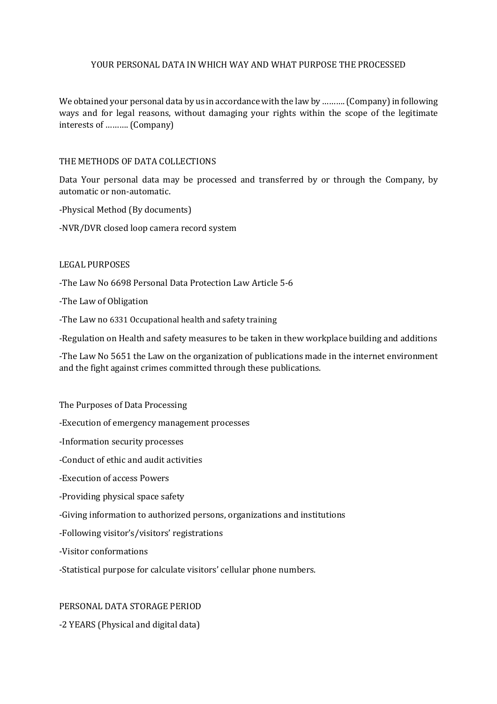## YOUR PERSONAL DATA IN WHICH WAY AND WHAT PURPOSE THE PROCESSED

We obtained your personal data by us in accordance with the law by ………. (Company) in following ways and for legal reasons, without damaging your rights within the scope of the legitimate interests of ……….. (Company)

#### THE METHODS OF DATA COLLECTIONS

Data Your personal data may be processed and transferred by or through the Company, by automatic or non-automatic.

-Physical Method (By documents)

-NVR/DVR closed loop camera record system

#### LEGAL PURPOSES

-The Law No 6698 Personal Data Protection Law Article 5-6

-The Law of Obligation

-The Law no 6331 Occupational health and safety training

-Regulation on Health and safety measures to be taken in thew workplace building and additions

-The Law No 5651 the Law on the organization of publications made in the internet environment and the fight against crimes committed through these publications.

The Purposes of Data Processing

-Execution of emergency management processes

-Information security processes

-Conduct of ethic and audit activities

-Execution of access Powers

-Providing physical space safety

-Giving information to authorized persons, organizations and institutions

-Following visitor's/visitors' registrations

-Visitor conformations

-Statistical purpose for calculate visitors' cellular phone numbers.

### PERSONAL DATA STORAGE PERIOD

-2 YEARS (Physical and digital data)